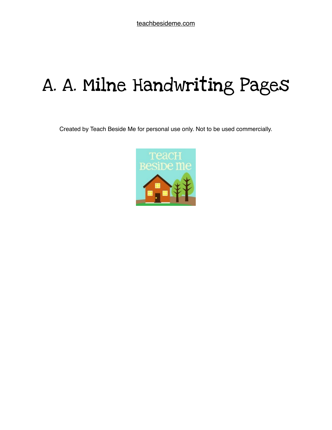# A. A. Milne Handwriting Pages

Created by Teach Beside Me for personal use only. Not to be used commercially.

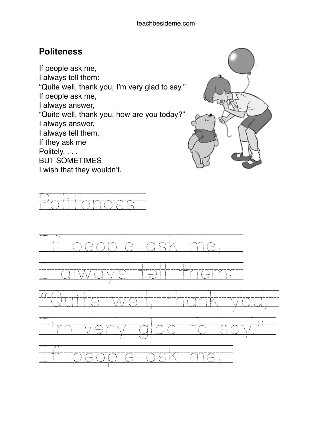### **Politeness**

If people ask me, I always tell them: "Quite well, thank you, I'm very glad to say." If people ask me, I always answer, "Quite well, thank you, how are you today?" I always answer, I always tell them, If they ask me Politely. . . . BUT SOMETIMES I wish that they wouldn't.



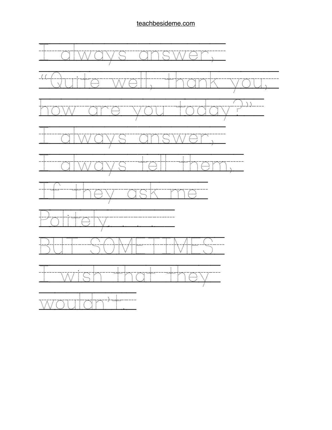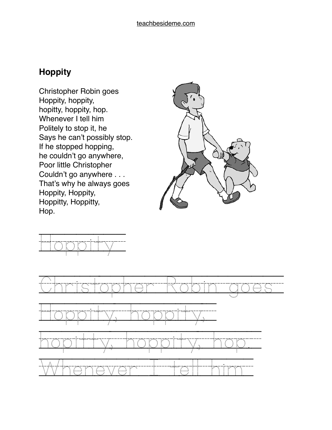## **Hoppity**

Christopher Robin goes Hoppity, hoppity, hopitty, hoppity, hop. Whenever I tell him Politely to stop it, he Says he can't possibly stop. If he stopped hopping, he couldn't go anywhere, Poor little Christopher Couldn't go anywhere . . . That's why he always goes Hoppity, Hoppity, Hoppitty, Hoppitty, Hop.





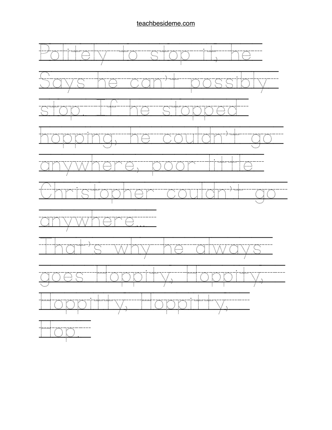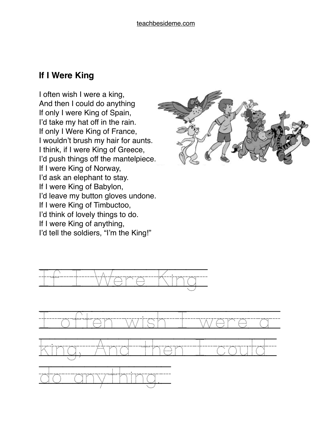## **If I Were King**

I often wish I were a king, And then I could do anything If only I were King of Spain, I'd take my hat off in the rain. If only I Were King of France, I wouldn't brush my hair for aunts. I think, if I were King of Greece, I'd push things off the mantelpiece. If I were King of Norway, I'd ask an elephant to stay. If I were King of Babylon, I'd leave my button gloves undone. If I were King of Timbuctoo, I'd think of lovely things to do. If I were King of anything, I'd tell the soldiers, "I'm the King!"





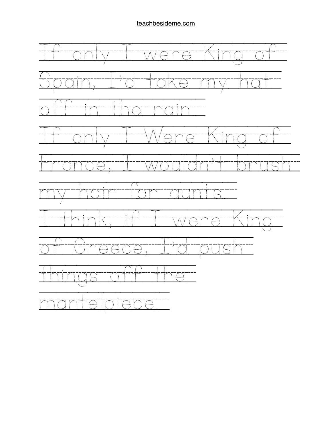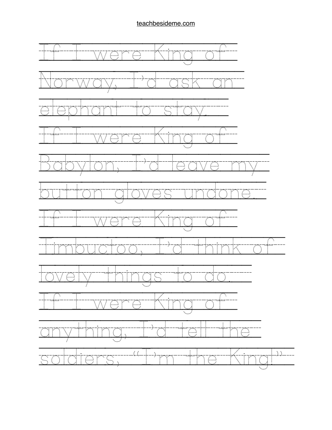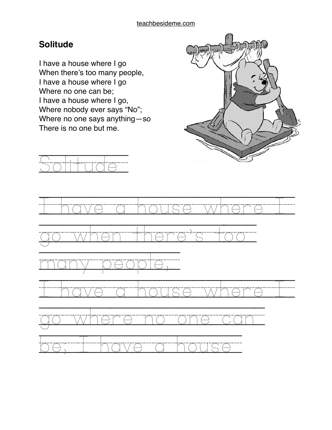## **Solitude**

I have a house where I go When there's too many people, I have a house where I go Where no one can be; I have a house where I go, Where nobody ever says "No"; Where no one says anything—so There is no one but me.





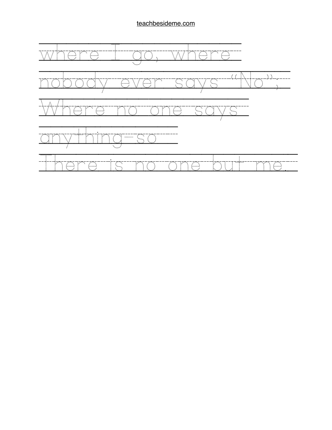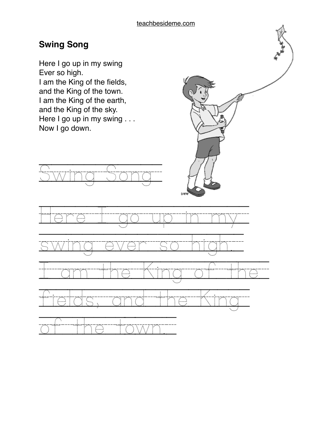## **Swing Song**

Here I go up in my swing Ever so high. I am the King of the fields, and the King of the town. I am the King of the earth, and the King of the sky. Here I go up in my swing . . . Now I go down.



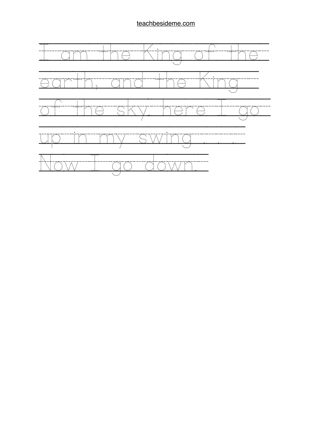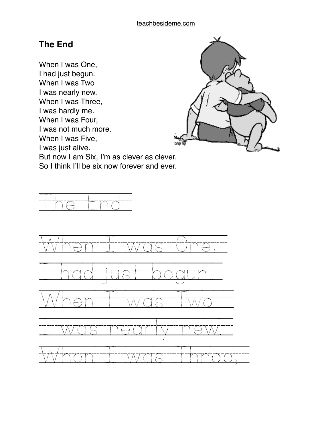#### **The End**

When I was One, I had just begun. When I was Two I was nearly new. When I was Three, I was hardly me. When I was Four, I was not much more. When I was Five, I was just alive. But now I am Six, I'm as clever as clever. So I think I'll be six now forever and ever.